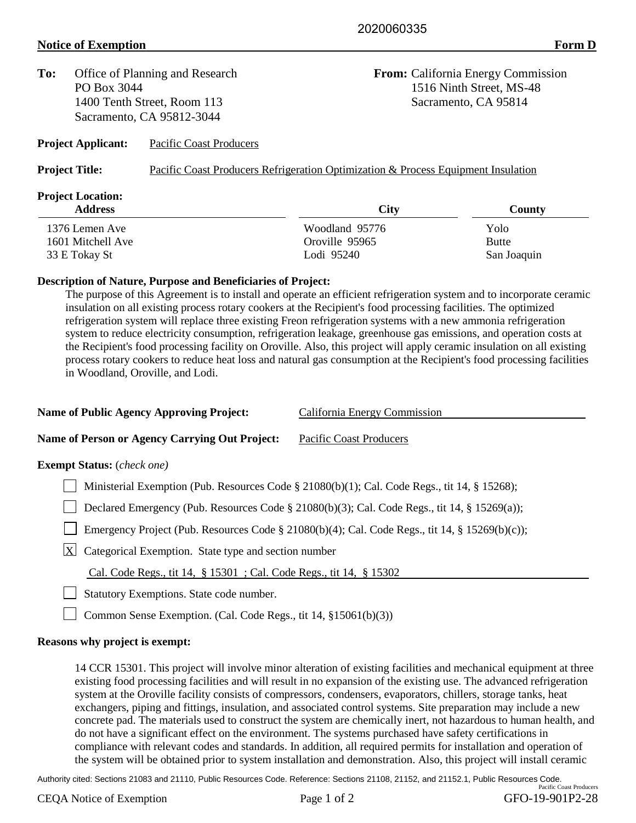## **Notice of Exemption Form D**

| To:           | Office of Planning and Research<br>PO Box 3044<br>1400 Tenth Street, Room 113 |                           | <b>From:</b> California Energy Commission                                         |              |  |
|---------------|-------------------------------------------------------------------------------|---------------------------|-----------------------------------------------------------------------------------|--------------|--|
|               |                                                                               |                           | 1516 Ninth Street, MS-48<br>Sacramento, CA 95814                                  |              |  |
|               |                                                                               |                           |                                                                                   |              |  |
|               |                                                                               | <b>Project Applicant:</b> | <b>Pacific Coast Producers</b>                                                    |              |  |
|               | <b>Project Title:</b>                                                         |                           | Pacific Coast Producers Refrigeration Optimization & Process Equipment Insulation |              |  |
|               | <b>Project Location:</b>                                                      |                           |                                                                                   |              |  |
|               | <b>Address</b>                                                                |                           | <b>City</b>                                                                       | County       |  |
|               | 1376 Lemen Ave                                                                |                           | Woodland 95776                                                                    | Yolo         |  |
|               | 1601 Mitchell Ave                                                             |                           | Oroville 95965                                                                    | <b>Butte</b> |  |
| 33 E Tokay St |                                                                               |                           | Lodi 95240                                                                        | San Joaquin  |  |

## **Description of Nature, Purpose and Beneficiaries of Project:**

The purpose of this Agreement is to install and operate an efficient refrigeration system and to incorporate ceramic insulation on all existing process rotary cookers at the Recipient's food processing facilities. The optimized refrigeration system will replace three existing Freon refrigeration systems with a new ammonia refrigeration system to reduce electricity consumption, refrigeration leakage, greenhouse gas emissions, and operation costs at the Recipient's food processing facility on Oroville. Also, this project will apply ceramic insulation on all existing process rotary cookers to reduce heat loss and natural gas consumption at the Recipient's food processing facilities in Woodland, Oroville, and Lodi.

| <b>Name of Public Agency Approving Project:</b>                                                | California Energy Commission |  |  |  |
|------------------------------------------------------------------------------------------------|------------------------------|--|--|--|
| <b>Name of Person or Agency Carrying Out Project:</b>                                          | Pacific Coast Producers      |  |  |  |
| <b>Exempt Status:</b> (check one)                                                              |                              |  |  |  |
| Ministerial Exemption (Pub. Resources Code § 21080(b)(1); Cal. Code Regs., tit 14, § 15268);   |                              |  |  |  |
| Declared Emergency (Pub. Resources Code § 21080(b)(3); Cal. Code Regs., tit 14, § 15269(a));   |                              |  |  |  |
| Emergency Project (Pub. Resources Code § 21080(b)(4); Cal. Code Regs., tit 14, § 15269(b)(c)); |                              |  |  |  |
| $\mathbf{X}$<br>Categorical Exemption. State type and section number                           |                              |  |  |  |
| Cal. Code Regs., tit 14, § 15301; Cal. Code Regs., tit 14, § 15302                             |                              |  |  |  |
| Statutory Exemptions. State code number.                                                       |                              |  |  |  |
| Common Sense Exemption. (Cal. Code Regs., tit 14, §15061(b)(3))                                |                              |  |  |  |
|                                                                                                |                              |  |  |  |

## **Reasons why project is exempt:**

14 CCR 15301. This project will involve minor alteration of existing facilities and mechanical equipment at three existing food processing facilities and will result in no expansion of the existing use. The advanced refrigeration system at the Oroville facility consists of compressors, condensers, evaporators, chillers, storage tanks, heat exchangers, piping and fittings, insulation, and associated control systems. Site preparation may include a new concrete pad. The materials used to construct the system are chemically inert, not hazardous to human health, and do not have a significant effect on the environment. The systems purchased have safety certifications in compliance with relevant codes and standards. In addition, all required permits for installation and operation of the system will be obtained prior to system installation and demonstration. Also, this project will install ceramic

Authority cited: Sections 21083 and 21110, Public Resources Code. Reference: Sections 21108, 21152, and 21152.1, Public Resources Code.